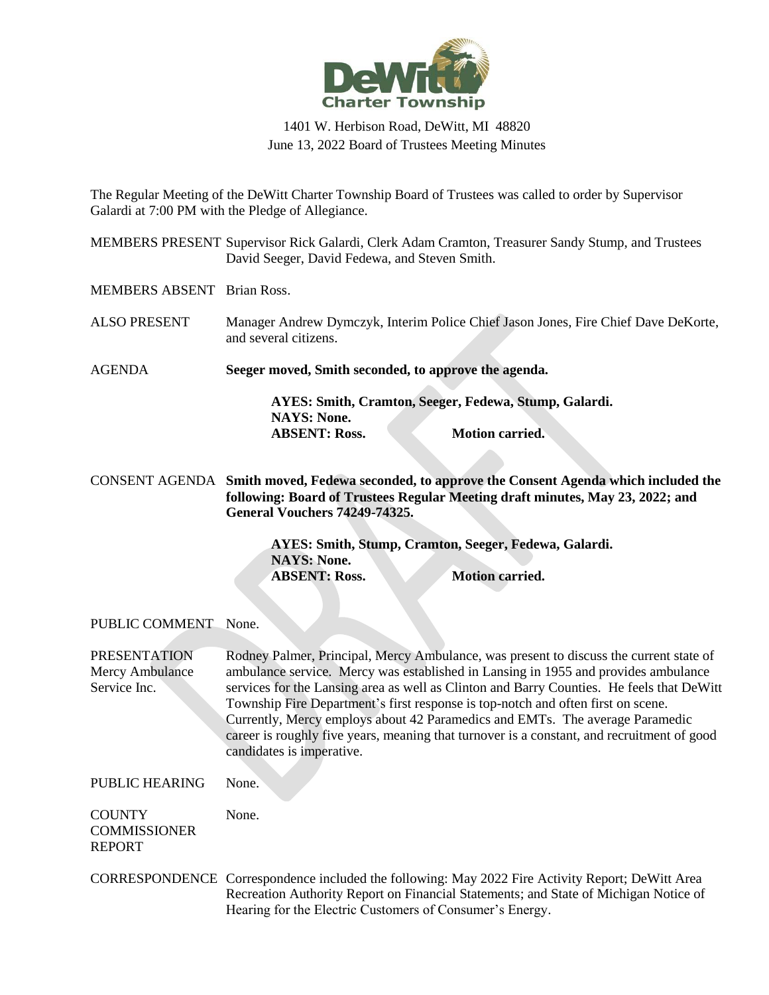

## 1401 W. Herbison Road, DeWitt, MI 48820 June 13, 2022 Board of Trustees Meeting Minutes

The Regular Meeting of the DeWitt Charter Township Board of Trustees was called to order by Supervisor Galardi at 7:00 PM with the Pledge of Allegiance.

MEMBERS PRESENT Supervisor Rick Galardi, Clerk Adam Cramton, Treasurer Sandy Stump, and Trustees David Seeger, David Fedewa, and Steven Smith.

MEMBERS ABSENT Brian Ross.

ALSO PRESENT Manager Andrew Dymczyk, Interim Police Chief Jason Jones, Fire Chief Dave DeKorte, and several citizens.

AGENDA **Seeger moved, Smith seconded, to approve the agenda.**

**AYES: Smith, Cramton, Seeger, Fedewa, Stump, Galardi. NAYS: None. ABSENT: Ross. Motion carried.**

CONSENT AGENDA **Smith moved, Fedewa seconded, to approve the Consent Agenda which included the following: Board of Trustees Regular Meeting draft minutes, May 23, 2022; and General Vouchers 74249-74325.**

> **AYES: Smith, Stump, Cramton, Seeger, Fedewa, Galardi. NAYS: None. ABSENT:** Ross. **Motion carried.**

PUBLIC COMMENT None.

PRESENTATION Mercy Ambulance Service Inc. Rodney Palmer, Principal, Mercy Ambulance, was present to discuss the current state of ambulance service. Mercy was established in Lansing in 1955 and provides ambulance services for the Lansing area as well as Clinton and Barry Counties. He feels that DeWitt Township Fire Department's first response is top-notch and often first on scene. Currently, Mercy employs about 42 Paramedics and EMTs. The average Paramedic career is roughly five years, meaning that turnover is a constant, and recruitment of good candidates is imperative.

PUBLIC HEARING None.

None.

**COUNTY COMMISSIONER** REPORT

CORRESPONDENCE Correspondence included the following: May 2022 Fire Activity Report; DeWitt Area Recreation Authority Report on Financial Statements; and State of Michigan Notice of Hearing for the Electric Customers of Consumer's Energy.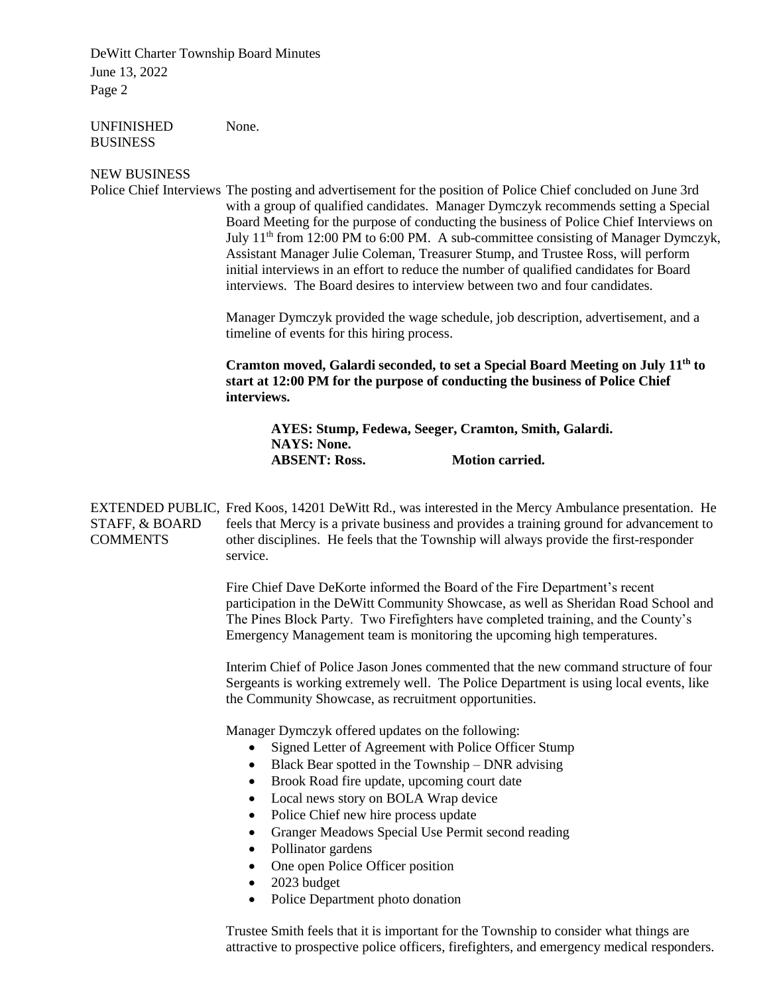DeWitt Charter Township Board Minutes June 13, 2022 Page 2

UNFINISHED **BUSINESS** None.

## NEW BUSINESS

Police Chief Interviews The posting and advertisement for the position of Police Chief concluded on June 3rd with a group of qualified candidates. Manager Dymczyk recommends setting a Special Board Meeting for the purpose of conducting the business of Police Chief Interviews on July  $11<sup>th</sup>$  from 12:00 PM to 6:00 PM. A sub-committee consisting of Manager Dymczyk, Assistant Manager Julie Coleman, Treasurer Stump, and Trustee Ross, will perform initial interviews in an effort to reduce the number of qualified candidates for Board interviews. The Board desires to interview between two and four candidates.

> Manager Dymczyk provided the wage schedule, job description, advertisement, and a timeline of events for this hiring process.

**Cramton moved, Galardi seconded, to set a Special Board Meeting on July 11th to start at 12:00 PM for the purpose of conducting the business of Police Chief interviews.**

**AYES: Stump, Fedewa, Seeger, Cramton, Smith, Galardi. NAYS: None. ABSENT: Ross. Motion carried.**

EXTENDED PUBLIC, Fred Koos, 14201 DeWitt Rd., was interested in the Mercy Ambulance presentation. He STAFF, & BOARD **COMMENTS** feels that Mercy is a private business and provides a training ground for advancement to other disciplines. He feels that the Township will always provide the first-responder service.

> Fire Chief Dave DeKorte informed the Board of the Fire Department's recent participation in the DeWitt Community Showcase, as well as Sheridan Road School and The Pines Block Party. Two Firefighters have completed training, and the County's Emergency Management team is monitoring the upcoming high temperatures.

> Interim Chief of Police Jason Jones commented that the new command structure of four Sergeants is working extremely well. The Police Department is using local events, like the Community Showcase, as recruitment opportunities.

Manager Dymczyk offered updates on the following:

- Signed Letter of Agreement with Police Officer Stump
- Black Bear spotted in the Township DNR advising
- Brook Road fire update, upcoming court date
- Local news story on BOLA Wrap device
- Police Chief new hire process update
- Granger Meadows Special Use Permit second reading
- Pollinator gardens
- One open Police Officer position
- 2023 budget
- Police Department photo donation

Trustee Smith feels that it is important for the Township to consider what things are attractive to prospective police officers, firefighters, and emergency medical responders.